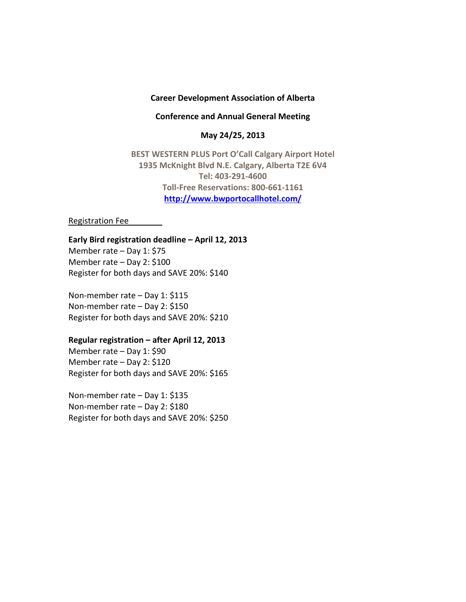### **Career Development Association of Alberta**

**Conference and Annual General Meeting**

**May 24/25, 2013**

**BEST WESTERN PLUS Port O'Call Calgary Airport Hotel 1935 McKnight Blvd N.E. Calgary, Alberta T2E 6V4 Tel: 403-291-4600 Toll-Free Reservations: 800-661-1161 <http://www.bwportocallhotel.com/>**

Registration Fee

**Early Bird registration deadline – April 12, 2013** Member rate – Day 1: \$75

Member rate – Day 2: \$100 Register for both days and SAVE 20%: \$140

Non-member rate – Day 1: \$115 Non-member rate – Day 2: \$150 Register for both days and SAVE 20%: \$210

### **Regular registration – after April 12, 2013**

Member rate – Day 1: \$90 Member rate – Day 2: \$120 Register for both days and SAVE 20%: \$165

Non-member rate – Day 1: \$135 Non-member rate – Day 2: \$180 Register for both days and SAVE 20%: \$250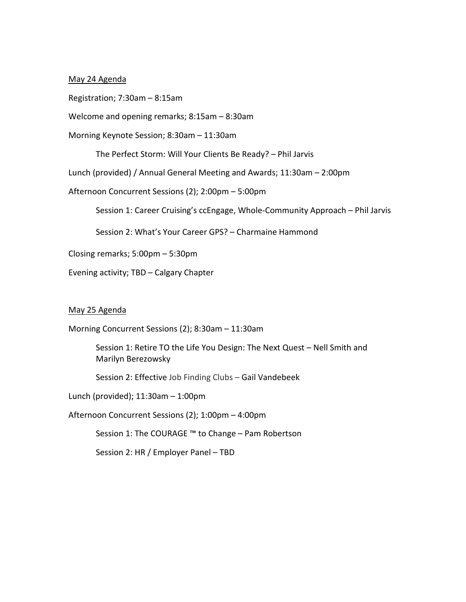## May 24 Agenda

Registration; 7:30am – 8:15am

Welcome and opening remarks; 8:15am – 8:30am

Morning Keynote Session; 8:30am – 11:30am

The Perfect Storm: Will Your Clients Be Ready? – Phil Jarvis

Lunch (provided) / Annual General Meeting and Awards; 11:30am – 2:00pm

Afternoon Concurrent Sessions (2); 2:00pm – 5:00pm

Session 1: Career Cruising's ccEngage, Whole-Community Approach – Phil Jarvis

Session 2: What's Your Career GPS? – Charmaine Hammond

Closing remarks; 5:00pm – 5:30pm

Evening activity; TBD – Calgary Chapter

#### May 25 Agenda

Morning Concurrent Sessions (2); 8:30am – 11:30am

Session 1: Retire TO the Life You Design: The Next Quest – Nell Smith and Marilyn Berezowsky

Session 2: Effective Job Finding Clubs – Gail Vandebeek

Lunch (provided); 11:30am – 1:00pm

Afternoon Concurrent Sessions (2); 1:00pm – 4:00pm

Session 1: The COURAGE ™ to Change – Pam Robertson

Session 2: HR / Employer Panel – TBD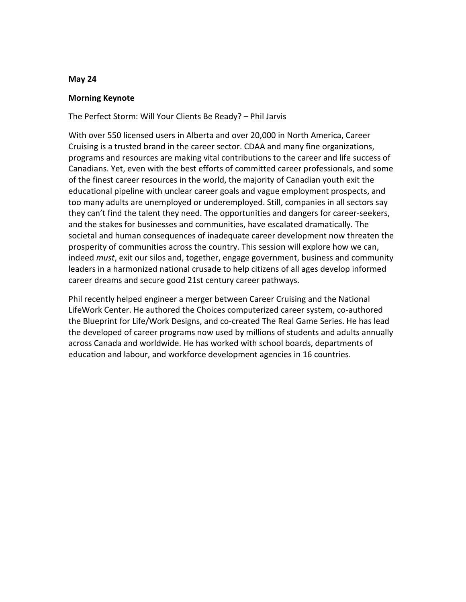### **May 24**

## **Morning Keynote**

The Perfect Storm: Will Your Clients Be Ready? – Phil Jarvis

With over 550 licensed users in Alberta and over 20,000 in North America, Career Cruising is a trusted brand in the career sector. CDAA and many fine organizations, programs and resources are making vital contributions to the career and life success of Canadians. Yet, even with the best efforts of committed career professionals, and some of the finest career resources in the world, the majority of Canadian youth exit the educational pipeline with unclear career goals and vague employment prospects, and too many adults are unemployed or underemployed. Still, companies in all sectors say they can't find the talent they need. The opportunities and dangers for career-seekers, and the stakes for businesses and communities, have escalated dramatically. The societal and human consequences of inadequate career development now threaten the prosperity of communities across the country. This session will explore how we can, indeed *must*, exit our silos and, together, engage government, business and community leaders in a harmonized national crusade to help citizens of all ages develop informed career dreams and secure good 21st century career pathways.

Phil recently helped engineer a merger between Career Cruising and the National LifeWork Center. He authored the Choices computerized career system, co-authored the Blueprint for Life/Work Designs, and co-created The Real Game Series. He has lead the developed of career programs now used by millions of students and adults annually across Canada and worldwide. He has worked with school boards, departments of education and labour, and workforce development agencies in 16 countries.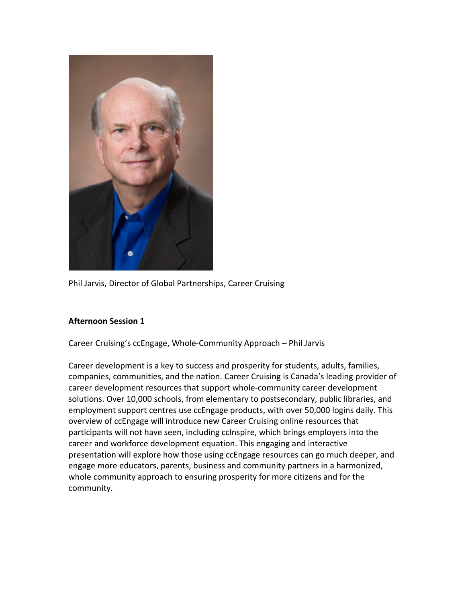

Phil Jarvis, Director of Global Partnerships, Career Cruising

# **Afternoon Session 1**

Career Cruising's ccEngage, Whole-Community Approach – Phil Jarvis

Career development is a key to success and prosperity for students, adults, families, companies, communities, and the nation. Career Cruising is Canada's leading provider of career development resources that support whole-community career development solutions. Over 10,000 schools, from elementary to postsecondary, public libraries, and employment support centres use ccEngage products, with over 50,000 logins daily. This overview of ccEngage will introduce new Career Cruising online resources that participants will not have seen, including ccInspire, which brings employers into the career and workforce development equation. This engaging and interactive presentation will explore how those using ccEngage resources can go much deeper, and engage more educators, parents, business and community partners in a harmonized, whole community approach to ensuring prosperity for more citizens and for the community.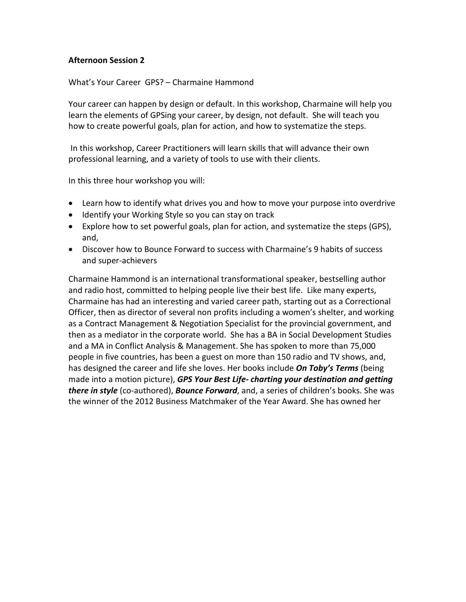# **Afternoon Session 2**

What's Your Career GPS? – Charmaine Hammond

Your career can happen by design or default. In this workshop, Charmaine will help you learn the elements of GPSing your career, by design, not default. She will teach you how to create powerful goals, plan for action, and how to systematize the steps.

In this workshop, Career Practitioners will learn skills that will advance their own professional learning, and a variety of tools to use with their clients.

In this three hour workshop you will:

- Learn how to identify what drives you and how to move your purpose into overdrive
- Identify your Working Style so you can stay on track
- Explore how to set powerful goals, plan for action, and systematize the steps (GPS), and,
- Discover how to Bounce Forward to success with Charmaine's 9 habits of success and super-achievers

Charmaine Hammond is an international transformational speaker, bestselling author and radio host, committed to helping people live their best life. Like many experts, Charmaine has had an interesting and varied career path, starting out as a Correctional Officer, then as director of several non profits including a women's shelter, and working as a Contract Management & Negotiation Specialist for the provincial government, and then as a mediator in the corporate world. She has a BA in Social Development Studies and a MA in Conflict Analysis & Management. She has spoken to more than 75,000 people in five countries, has been a guest on more than 150 radio and TV shows, and, has designed the career and life she loves. Her books include *On Toby's Terms* (being made into a motion picture), *GPS Your Best Life- charting your destination and getting there in style* (co-authored), *Bounce Forward*, and, a series of children's books. She was the winner of the 2012 Business Matchmaker of the Year Award. She has owned her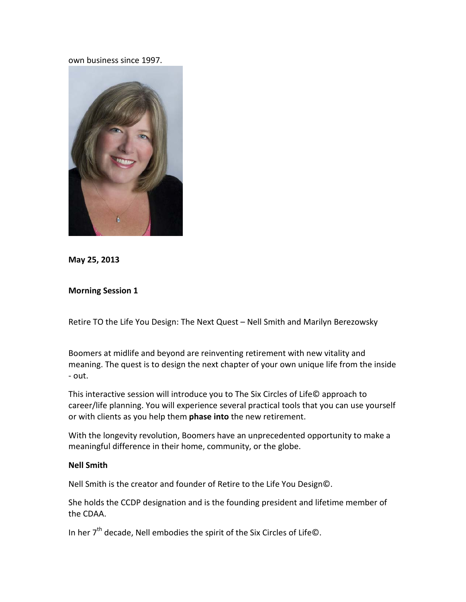own business since 1997.



**May 25, 2013**

## **Morning Session 1**

Retire TO the Life You Design: The Next Quest – Nell Smith and Marilyn Berezowsky

Boomers at midlife and beyond are reinventing retirement with new vitality and meaning. The quest is to design the next chapter of your own unique life from the inside - out.

This interactive session will introduce you to The Six Circles of Life© approach to career/life planning. You will experience several practical tools that you can use yourself or with clients as you help them **phase into** the new retirement.

With the longevity revolution, Boomers have an unprecedented opportunity to make a meaningful difference in their home, community, or the globe.

## **Nell Smith**

Nell Smith is the creator and founder of Retire to the Life You Design©.

She holds the CCDP designation and is the founding president and lifetime member of the CDAA.

In her  $7<sup>th</sup>$  decade, Nell embodies the spirit of the Six Circles of Life©.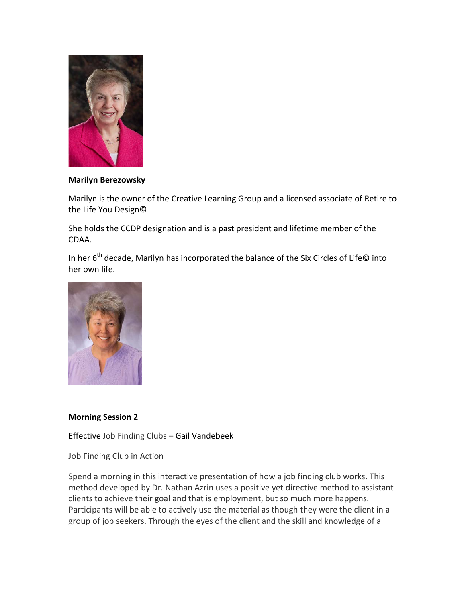

# **Marilyn Berezowsky**

Marilyn is the owner of the Creative Learning Group and a licensed associate of Retire to the Life You Design©

She holds the CCDP designation and is a past president and lifetime member of the CDAA.

In her  $6<sup>th</sup>$  decade, Marilyn has incorporated the balance of the Six Circles of Life© into her own life.



# **Morning Session 2**

Effective Job Finding Clubs – Gail Vandebeek

Job Finding Club in Action

Spend a morning in this interactive presentation of how a job finding club works. This method developed by Dr. Nathan Azrin uses a positive yet directive method to assistant clients to achieve their goal and that is employment, but so much more happens. Participants will be able to actively use the material as though they were the client in a group of job seekers. Through the eyes of the client and the skill and knowledge of a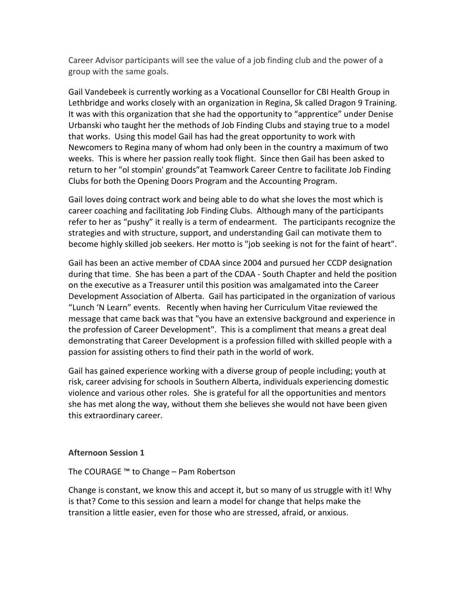Career Advisor participants will see the value of a job finding club and the power of a group with the same goals.

Gail Vandebeek is currently working as a Vocational Counsellor for CBI Health Group in Lethbridge and works closely with an organization in Regina, Sk called Dragon 9 Training. It was with this organization that she had the opportunity to "apprentice" under Denise Urbanski who taught her the methods of Job Finding Clubs and staying true to a model that works. Using this model Gail has had the great opportunity to work with Newcomers to Regina many of whom had only been in the country a maximum of two weeks. This is where her passion really took flight. Since then Gail has been asked to return to her "ol stompin' grounds"at Teamwork Career Centre to facilitate Job Finding Clubs for both the Opening Doors Program and the Accounting Program.

Gail loves doing contract work and being able to do what she loves the most which is career coaching and facilitating Job Finding Clubs. Although many of the participants refer to her as "pushy" it really is a term of endearment. The participants recognize the strategies and with structure, support, and understanding Gail can motivate them to become highly skilled job seekers. Her motto is "job seeking is not for the faint of heart".

Gail has been an active member of CDAA since 2004 and pursued her CCDP designation during that time. She has been a part of the CDAA - South Chapter and held the position on the executive as a Treasurer until this position was amalgamated into the Career Development Association of Alberta. Gail has participated in the organization of various "Lunch 'N Learn" events. Recently when having her Curriculum Vitae reviewed the message that came back was that "you have an extensive background and experience in the profession of Career Development". This is a compliment that means a great deal demonstrating that Career Development is a profession filled with skilled people with a passion for assisting others to find their path in the world of work.

Gail has gained experience working with a diverse group of people including; youth at risk, career advising for schools in Southern Alberta, individuals experiencing domestic violence and various other roles. She is grateful for all the opportunities and mentors she has met along the way, without them she believes she would not have been given this extraordinary career.

### **Afternoon Session 1**

The COURAGE ™ to Change – Pam Robertson

Change is constant, we know this and accept it, but so many of us struggle with it! Why is that? Come to this session and learn a model for change that helps make the transition a little easier, even for those who are stressed, afraid, or anxious.